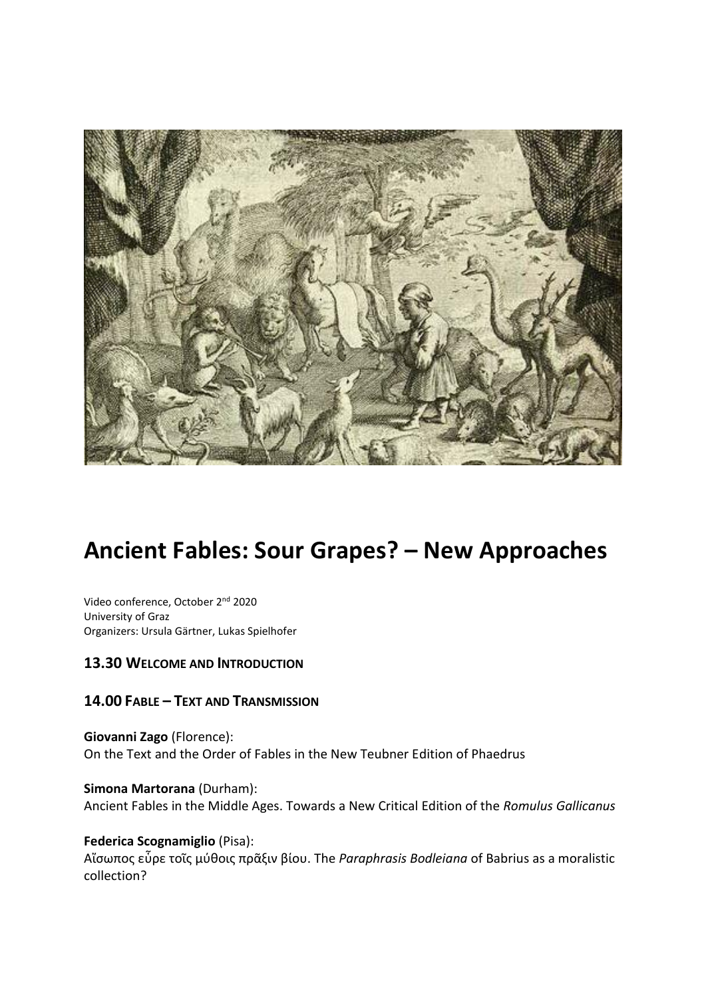

# **Ancient Fables: Sour Grapes? – New Approaches**

Video conference, October 2nd 2020 University of Graz Organizers: Ursula Gärtner, Lukas Spielhofer

### **13.30 WELCOME AND INTRODUCTION**

### **14.00 FABLE – TEXT AND TRANSMISSION**

**Giovanni Zago** (Florence): On the Text and the Order of Fables in the New Teubner Edition of Phaedrus

**Simona Martorana** (Durham): Ancient Fables in the Middle Ages. Towards a New Critical Edition of the *Romulus Gallicanus*

**Federica Scognamiglio** (Pisa): Αἴσωπος εὗρε τοῖς μύθοις πρᾶξιν βίου. The *Paraphrasis Bodleiana* of Babrius as a moralistic collection?